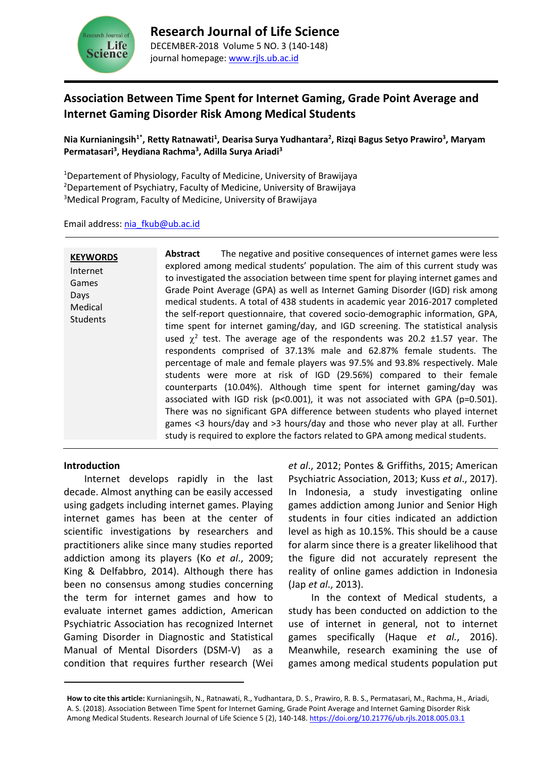

# **Association Between Time Spent for Internet Gaming, Grade Point Average and Internet Gaming Disorder Risk Among Medical Students**

**Nia Kurnianingsih1\*, Retty Ratnawati<sup>1</sup> , Dearisa Surya Yudhantara<sup>2</sup> , Rizqi Bagus Setyo Prawiro<sup>3</sup> , Maryam Permatasari<sup>3</sup> , Heydiana Rachma<sup>3</sup> , Adilla Surya Ariadi<sup>3</sup>**

<sup>1</sup>Departement of Physiology, Faculty of Medicine, University of Brawijaya <sup>2</sup>Departement of Psychiatry, Faculty of Medicine, University of Brawijaya <sup>3</sup>Medical Program, Faculty of Medicine, University of Brawijaya

Email address: [nia\\_fkub@ub.ac.id](mailto:nia_fkub@ub.ac.id)

| Abstract<br><b>KEYWORDS</b><br>Internet<br>Games<br>Days<br>Medical<br><b>Students</b><br>study is required to explore the factors related to GPA among medical students. | The negative and positive consequences of internet games were less<br>explored among medical students' population. The aim of this current study was<br>to investigated the association between time spent for playing internet games and<br>Grade Point Average (GPA) as well as Internet Gaming Disorder (IGD) risk among<br>medical students. A total of 438 students in academic year 2016-2017 completed<br>the self-report questionnaire, that covered socio-demographic information, GPA,<br>time spent for internet gaming/day, and IGD screening. The statistical analysis<br>used $\chi^2$ test. The average age of the respondents was 20.2 ±1.57 year. The<br>respondents comprised of 37.13% male and 62.87% female students. The<br>percentage of male and female players was 97.5% and 93.8% respectively. Male<br>students were more at risk of IGD (29.56%) compared to their female<br>counterparts (10.04%). Although time spent for internet gaming/day was<br>associated with IGD risk ( $p<0.001$ ), it was not associated with GPA ( $p=0.501$ ).<br>There was no significant GPA difference between students who played internet<br>games <3 hours/day and >3 hours/day and those who never play at all. Further |
|---------------------------------------------------------------------------------------------------------------------------------------------------------------------------|------------------------------------------------------------------------------------------------------------------------------------------------------------------------------------------------------------------------------------------------------------------------------------------------------------------------------------------------------------------------------------------------------------------------------------------------------------------------------------------------------------------------------------------------------------------------------------------------------------------------------------------------------------------------------------------------------------------------------------------------------------------------------------------------------------------------------------------------------------------------------------------------------------------------------------------------------------------------------------------------------------------------------------------------------------------------------------------------------------------------------------------------------------------------------------------------------------------------------------------|
|---------------------------------------------------------------------------------------------------------------------------------------------------------------------------|------------------------------------------------------------------------------------------------------------------------------------------------------------------------------------------------------------------------------------------------------------------------------------------------------------------------------------------------------------------------------------------------------------------------------------------------------------------------------------------------------------------------------------------------------------------------------------------------------------------------------------------------------------------------------------------------------------------------------------------------------------------------------------------------------------------------------------------------------------------------------------------------------------------------------------------------------------------------------------------------------------------------------------------------------------------------------------------------------------------------------------------------------------------------------------------------------------------------------------------|

#### **Introduction**

Internet develops rapidly in the last decade. Almost anything can be easily accessed using gadgets including internet games. Playing internet games has been at the center of scientific investigations by researchers and practitioners alike since many studies reported addiction among its players (Ko *et al*., 2009; King & Delfabbro, 2014). Although there has been no consensus among studies concerning the term for internet games and how to evaluate internet games addiction, American Psychiatric Association has recognized Internet Gaming Disorder in Diagnostic and Statistical Manual of Mental Disorders (DSM-V) as a condition that requires further research (Wei *et al*., 2012; Pontes & Griffiths, 2015; American Psychiatric Association, 2013; Kuss *et al*., 2017). In Indonesia, a study investigating online games addiction among Junior and Senior High students in four cities indicated an addiction level as high as 10.15%. This should be a cause for alarm since there is a greater likelihood that the figure did not accurately represent the reality of online games addiction in Indonesia (Jap *et al*., 2013).

In the context of Medical students, a study has been conducted on addiction to the use of internet in general, not to internet games specifically (Haque *et al.*, 2016). Meanwhile, research examining the use of games among medical students population put

**How to cite this article:** Kurnianingsih, N., Ratnawati, R., Yudhantara, D. S., Prawiro, R. B. S., Permatasari, M., Rachma, H., Ariadi, A. S. (2018). Association Between Time Spent for Internet Gaming, Grade Point Average and Internet Gaming Disorder Risk Among Medical Students. Research Journal of Life Science 5 (2), 140-148. <https://doi.org/10.21776/ub.rjls.2018.005.03.1>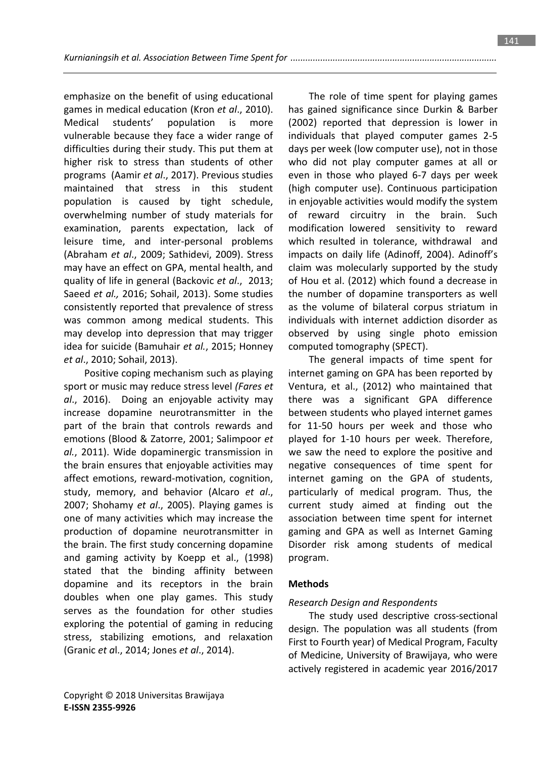emphasize on the benefit of using educational games in medical education (Kron *et al*., 2010). Medical students' population is more vulnerable because they face a wider range of difficulties during their study. This put them at higher risk to stress than students of other programs (Aamir *et al*., 2017). Previous studies maintained that stress in this student population is caused by tight schedule, overwhelming number of study materials for examination, parents expectation, lack of leisure time, and inter-personal problems (Abraham *et al*., 2009; Sathidevi, 2009). Stress may have an effect on GPA, mental health, and quality of life in general (Backovic *et al*., 2013; Saeed *et al.,* 2016; Sohail, 2013). Some studies consistently reported that prevalence of stress was common among medical students. This may develop into depression that may trigger idea for suicide (Bamuhair *et al.*, 2015; Honney *et al*., 2010; Sohail, 2013).

Positive coping mechanism such as playing sport or music may reduce stress level *(Fares et al*., 2016). Doing an enjoyable activity may increase dopamine neurotransmitter in the part of the brain that controls rewards and emotions (Blood & Zatorre, 2001; Salimpoor *et al.*, 2011). Wide dopaminergic transmission in the brain ensures that enjoyable activities may affect emotions, reward-motivation, cognition, study, memory, and behavior (Alcaro *et al*., 2007; Shohamy *et al*., 2005). Playing games is one of many activities which may increase the production of dopamine neurotransmitter in the brain. The first study concerning dopamine and gaming activity by Koepp et al., (1998) stated that the binding affinity between dopamine and its receptors in the brain doubles when one play games. This study serves as the foundation for other studies exploring the potential of gaming in reducing stress, stabilizing emotions, and relaxation (Granic *et a*l., 2014; Jones *et al*., 2014).

The role of time spent for playing games has gained significance since Durkin & Barber (2002) reported that depression is lower in individuals that played computer games 2-5 days per week (low computer use), not in those who did not play computer games at all or even in those who played 6-7 days per week (high computer use). Continuous participation in enjoyable activities would modify the system of reward circuitry in the brain. Such modification lowered sensitivity to reward which resulted in tolerance, withdrawal and impacts on daily life (Adinoff, 2004). Adinoff's claim was molecularly supported by the study of Hou et al. (2012) which found a decrease in the number of dopamine transporters as well as the volume of bilateral corpus striatum in individuals with internet addiction disorder as observed by using single photo emission computed tomography (SPECT).

The general impacts of time spent for internet gaming on GPA has been reported by Ventura, et al., (2012) who maintained that there was a significant GPA difference between students who played internet games for 11-50 hours per week and those who played for 1-10 hours per week. Therefore, we saw the need to explore the positive and negative consequences of time spent for internet gaming on the GPA of students, particularly of medical program. Thus, the current study aimed at finding out the association between time spent for internet gaming and GPA as well as Internet Gaming Disorder risk among students of medical program.

#### **Methods**

#### *Research Design and Respondents*

The study used descriptive cross-sectional design. The population was all students (from First to Fourth year) of Medical Program, Faculty of Medicine, University of Brawijaya, who were actively registered in academic year 2016/2017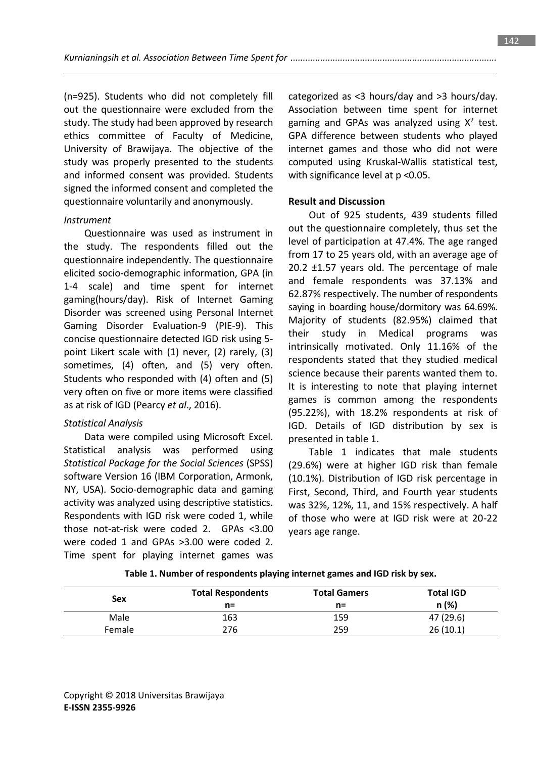(n=925). Students who did not completely fill out the questionnaire were excluded from the study. The study had been approved by research ethics committee of Faculty of Medicine, University of Brawijaya. The objective of the study was properly presented to the students and informed consent was provided. Students signed the informed consent and completed the questionnaire voluntarily and anonymously.

# *Instrument*

Questionnaire was used as instrument in the study. The respondents filled out the questionnaire independently. The questionnaire elicited socio-demographic information, GPA (in 1-4 scale) and time spent for internet gaming(hours/day). Risk of Internet Gaming Disorder was screened using Personal Internet Gaming Disorder Evaluation-9 (PIE-9). This concise questionnaire detected IGD risk using 5 point Likert scale with (1) never, (2) rarely, (3) sometimes, (4) often, and (5) very often. Students who responded with (4) often and (5) very often on five or more items were classified as at risk of IGD (Pearcy *et al*., 2016).

# *Statistical Analysis*

Data were compiled using Microsoft Excel. Statistical analysis was performed using *Statistical Package for the Social Sciences* (SPSS) software Version 16 (IBM Corporation, Armonk, NY, USA). Socio-demographic data and gaming activity was analyzed using descriptive statistics. Respondents with IGD risk were coded 1, while those not-at-risk were coded 2. GPAs <3.00 were coded 1 and GPAs >3.00 were coded 2. Time spent for playing internet games was

categorized as <3 hours/day and >3 hours/day. Association between time spent for internet gaming and GPAs was analyzed using  $X^2$  test. GPA difference between students who played internet games and those who did not were computed using Kruskal-Wallis statistical test, with significance level at p <0.05.

# **Result and Discussion**

Out of 925 students, 439 students filled out the questionnaire completely, thus set the level of participation at 47.4%. The age ranged from 17 to 25 years old, with an average age of 20.2 ±1.57 years old. The percentage of male and female respondents was 37.13% and 62.87% respectively. The number of respondents saying in boarding house/dormitory was 64.69%. Majority of students (82.95%) claimed that their study in Medical programs was intrinsically motivated. Only 11.16% of the respondents stated that they studied medical science because their parents wanted them to. It is interesting to note that playing internet games is common among the respondents (95.22%), with 18.2% respondents at risk of IGD. Details of IGD distribution by sex is presented in table 1.

Table 1 indicates that male students (29.6%) were at higher IGD risk than female (10.1%). Distribution of IGD risk percentage in First, Second, Third, and Fourth year students was 32%, 12%, 11, and 15% respectively. A half of those who were at IGD risk were at 20-22 years age range.

| Sex    | <b>Total Respondents</b><br>$n =$ | <b>Total Gamers</b><br>$n =$ | <b>Total IGD</b><br>n(%) |
|--------|-----------------------------------|------------------------------|--------------------------|
| Male   | 163                               | 159                          | 47 (29.6)                |
| Female | 276                               | 259                          | 26(10.1)                 |

**Table 1. Number of respondents playing internet games and IGD risk by sex.**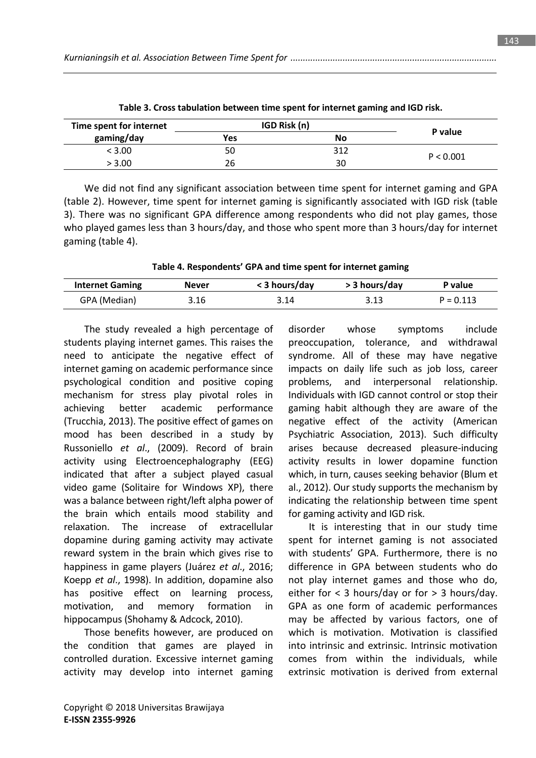| Time spent for internet | IGD Risk (n) |     |           |
|-------------------------|--------------|-----|-----------|
| gaming/day              | Yes          | No  | P value   |
| < 3.00                  | 50           | 312 | P < 0.001 |
| > 3.00                  | 26           | 30  |           |

**Table 3. Cross tabulation between time spent for internet gaming and IGD risk.**

We did not find any significant association between time spent for internet gaming and GPA (table 2). However, time spent for internet gaming is significantly associated with IGD risk (table 3). There was no significant GPA difference among respondents who did not play games, those who played games less than 3 hours/day, and those who spent more than 3 hours/day for internet gaming (table 4).

|  | Table 4. Respondents' GPA and time spent for internet gaming |  |
|--|--------------------------------------------------------------|--|
|--|--------------------------------------------------------------|--|

| <b>Internet Gaming</b> | Never | < 3 hours/day | > 3 hours/day | P value     |
|------------------------|-------|---------------|---------------|-------------|
| GPA (Median)           | 3.16  | 3.14          |               | $P = 0.113$ |

The study revealed a high percentage of students playing internet games. This raises the need to anticipate the negative effect of internet gaming on academic performance since psychological condition and positive coping mechanism for stress play pivotal roles in achieving better academic performance (Trucchia, 2013). The positive effect of games on mood has been described in a study by Russoniello *et al*., (2009). Record of brain activity using Electroencephalography (EEG) indicated that after a subject played casual video game (Solitaire for Windows XP), there was a balance between right/left alpha power of the brain which entails mood stability and relaxation. The increase of extracellular dopamine during gaming activity may activate reward system in the brain which gives rise to happiness in game players (Juárez *et al*., 2016; Koepp *et al*., 1998). In addition, dopamine also has positive effect on learning process, motivation, and memory formation in hippocampus (Shohamy & Adcock, 2010).

Those benefits however, are produced on the condition that games are played in controlled duration. Excessive internet gaming activity may develop into internet gaming disorder whose symptoms include preoccupation, tolerance, and withdrawal syndrome. All of these may have negative impacts on daily life such as job loss, career problems, and interpersonal relationship. Individuals with IGD cannot control or stop their gaming habit although they are aware of the negative effect of the activity (American Psychiatric Association, 2013). Such difficulty arises because decreased pleasure-inducing activity results in lower dopamine function which, in turn, causes seeking behavior (Blum et al., 2012). Our study supports the mechanism by indicating the relationship between time spent for gaming activity and IGD risk.

It is interesting that in our study time spent for internet gaming is not associated with students' GPA. Furthermore, there is no difference in GPA between students who do not play internet games and those who do, either for < 3 hours/day or for > 3 hours/day. GPA as one form of academic performances may be affected by various factors, one of which is motivation. Motivation is classified into intrinsic and extrinsic. Intrinsic motivation comes from within the individuals, while extrinsic motivation is derived from external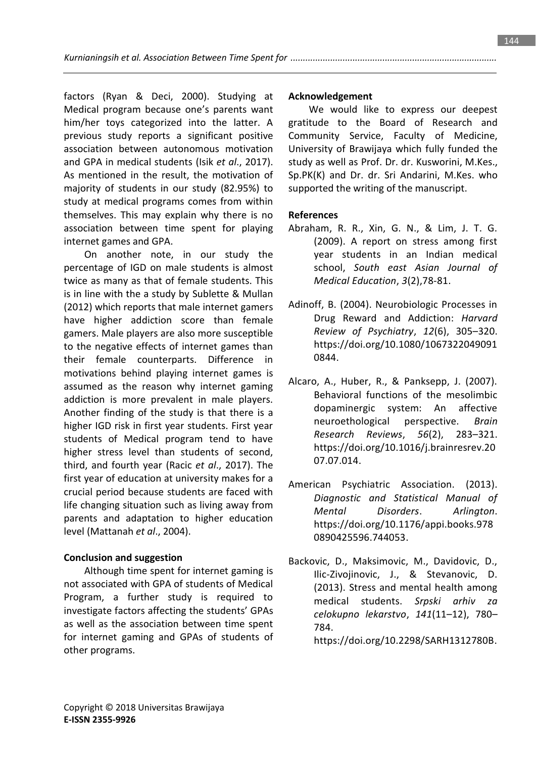factors (Ryan & Deci, 2000). Studying at Medical program because one's parents want him/her toys categorized into the latter. A previous study reports a significant positive association between autonomous motivation and GPA in medical students (Isik *et al*., 2017). As mentioned in the result, the motivation of majority of students in our study (82.95%) to study at medical programs comes from within themselves. This may explain why there is no association between time spent for playing internet games and GPA.

On another note, in our study the percentage of IGD on male students is almost twice as many as that of female students. This is in line with the a study by Sublette & Mullan (2012) which reports that male internet gamers have higher addiction score than female gamers. Male players are also more susceptible to the negative effects of internet games than their female counterparts. Difference in motivations behind playing internet games is assumed as the reason why internet gaming addiction is more prevalent in male players. Another finding of the study is that there is a higher IGD risk in first year students. First year students of Medical program tend to have higher stress level than students of second, third, and fourth year (Racic *et al*., 2017). The first year of education at university makes for a crucial period because students are faced with life changing situation such as living away from parents and adaptation to higher education level (Mattanah *et al*., 2004).

# **Conclusion and suggestion**

Although time spent for internet gaming is not associated with GPA of students of Medical Program, a further study is required to investigate factors affecting the students' GPAs as well as the association between time spent for internet gaming and GPAs of students of other programs.

### **Acknowledgement**

We would like to express our deepest gratitude to the Board of Research and Community Service, Faculty of Medicine, University of Brawijaya which fully funded the study as well as Prof. Dr. dr. Kusworini, M.Kes., Sp.PK(K) and Dr. dr. Sri Andarini, M.Kes. who supported the writing of the manuscript.

# **References**

- Abraham, R. R., Xin, G. N., & Lim, J. T. G. (2009). A report on stress among first year students in an Indian medical school, *South east Asian Journal of Medical Education*, *3*(2),78-81.
- Adinoff, B. (2004). Neurobiologic Processes in Drug Reward and Addiction: *Harvard Review of Psychiatry*, *12*(6), 305–320. https://doi.org/10.1080/1067322049091 0844.
- Alcaro, A., Huber, R., & Panksepp, J. (2007). Behavioral functions of the mesolimbic dopaminergic system: An affective neuroethological perspective. *Brain Research Reviews*, *56*(2), 283–321. https://doi.org/10.1016/j.brainresrev.20 07.07.014.
- American Psychiatric Association. (2013). *Diagnostic and Statistical Manual of Mental Disorders*. *Arlington*. https://doi.org/10.1176/appi.books.978 0890425596.744053.
- Backovic, D., Maksimovic, M., Davidovic, D., Ilic-Zivojinovic, J., & Stevanovic, D. (2013). Stress and mental health among medical students. *Srpski arhiv za celokupno lekarstvo*, *141*(11–12), 780– 784.

https://doi.org/10.2298/SARH1312780B.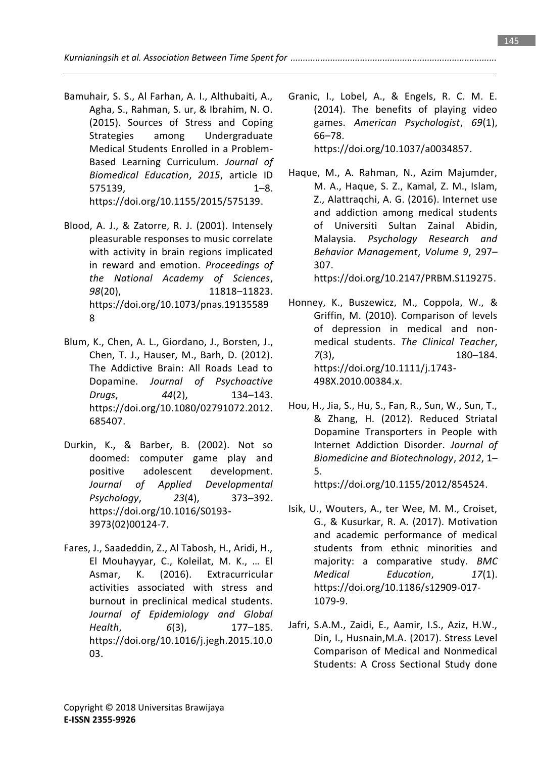*Kurnianingsih et al. Association Between Time Spent for ...................................................................................*

- Bamuhair, S. S., Al Farhan, A. I., Althubaiti, A., Agha, S., Rahman, S. ur, & Ibrahim, N. O. (2015). Sources of Stress and Coping Strategies among Undergraduate Medical Students Enrolled in a Problem-Based Learning Curriculum. *Journal of Biomedical Education*, *2015*, article ID 575139, 1–8. https://doi.org/10.1155/2015/575139.
- Blood, A. J., & Zatorre, R. J. (2001). Intensely pleasurable responses to music correlate with activity in brain regions implicated in reward and emotion. *Proceedings of the National Academy of Sciences*, *98*(20), 11818–11823. https://doi.org/10.1073/pnas.19135589 8
- Blum, K., Chen, A. L., Giordano, J., Borsten, J., Chen, T. J., Hauser, M., Barh, D. (2012). The Addictive Brain: All Roads Lead to Dopamine. *Journal of Psychoactive Drugs*, *44*(2), 134–143. https://doi.org/10.1080/02791072.2012. 685407.
- Durkin, K., & Barber, B. (2002). Not so doomed: computer game play and positive adolescent development. *Journal of Applied Developmental Psychology*, *23*(4), 373–392. https://doi.org/10.1016/S0193- 3973(02)00124-7.
- Fares, J., Saadeddin, Z., Al Tabosh, H., Aridi, H., El Mouhayyar, C., Koleilat, M. K., … El Asmar, K. (2016). Extracurricular activities associated with stress and burnout in preclinical medical students. *Journal of Epidemiology and Global Health*, *6*(3), 177–185. https://doi.org/10.1016/j.jegh.2015.10.0 03.

Granic, I., Lobel, A., & Engels, R. C. M. E. (2014). The benefits of playing video games. *American Psychologist*, *69*(1), 66–78. https://doi.org/10.1037/a0034857.

Haque, M., A. Rahman, N., Azim Majumder, M. A., Haque, S. Z., Kamal, Z. M., Islam, Z., Alattraqchi, A. G. (2016). Internet use and addiction among medical students of Universiti Sultan Zainal Abidin, Malaysia. *Psychology Research and Behavior Management*, *Volume 9*, 297– 307.

https://doi.org/10.2147/PRBM.S119275.

- Honney, K., Buszewicz, M., Coppola, W., & Griffin, M. (2010). Comparison of levels of depression in medical and nonmedical students. *The Clinical Teacher*, *7*(3), 180–184. https://doi.org/10.1111/j.1743- 498X.2010.00384.x.
- Hou, H., Jia, S., Hu, S., Fan, R., Sun, W., Sun, T., & Zhang, H. (2012). Reduced Striatal Dopamine Transporters in People with Internet Addiction Disorder. *Journal of Biomedicine and Biotechnology*, *2012*, 1– 5.

https://doi.org/10.1155/2012/854524.

- Isik, U., Wouters, A., ter Wee, M. M., Croiset, G., & Kusurkar, R. A. (2017). Motivation and academic performance of medical students from ethnic minorities and majority: a comparative study. *BMC Medical Education*, *17*(1). https://doi.org/10.1186/s12909-017- 1079-9.
- Jafri, S.A.M., Zaidi, E., Aamir, I.S., Aziz, H.W., Din, I., Husnain,M.A. (2017). Stress Level Comparison of Medical and Nonmedical Students: A Cross Sectional Study done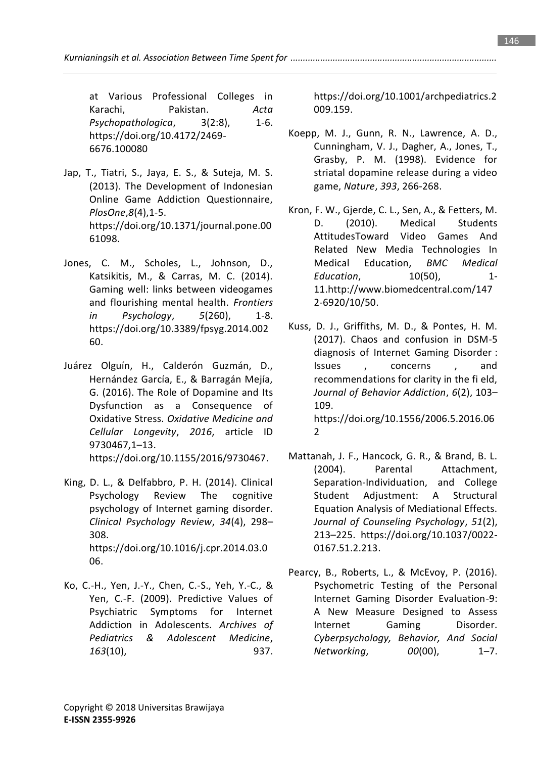at Various Professional Colleges in Karachi, Pakistan. *Acta Psychopathologica*, 3(2:8), 1-6. https://doi.org/10.4172/2469- 6676.100080

- Jap, T., Tiatri, S., Jaya, E. S., & Suteja, M. S. (2013). The Development of Indonesian Online Game Addiction Questionnaire, *PlosOne*,*8*(4),1-5. https://doi.org/10.1371/journal.pone.00 61098.
- Jones, C. M., Scholes, L., Johnson, D., Katsikitis, M., & Carras, M. C. (2014). Gaming well: links between videogames and flourishing mental health. *Frontiers in Psychology*, *5*(260), 1-8. https://doi.org/10.3389/fpsyg.2014.002 60.
- Juárez Olguín, H., Calderón Guzmán, D., Hernández García, E., & Barragán Mejía, G. (2016). The Role of Dopamine and Its Dysfunction as a Consequence of Oxidative Stress. *Oxidative Medicine and Cellular Longevity*, *2016*, article ID 9730467,1–13. https://doi.org/10.1155/2016/9730467.
- King, D. L., & Delfabbro, P. H. (2014). Clinical Psychology Review The cognitive psychology of Internet gaming disorder. *Clinical Psychology Review*, *34*(4), 298– 308. https://doi.org/10.1016/j.cpr.2014.03.0 06.
- Ko, C.-H., Yen, J.-Y., Chen, C.-S., Yeh, Y.-C., & Yen, C.-F. (2009). Predictive Values of Psychiatric Symptoms for Internet Addiction in Adolescents. *Archives of Pediatrics & Adolescent Medicine*, *163*(10), 937.

https://doi.org/10.1001/archpediatrics.2 009.159.

- Koepp, M. J., Gunn, R. N., Lawrence, A. D., Cunningham, V. J., Dagher, A., Jones, T., Grasby, P. M. (1998). Evidence for striatal dopamine release during a video game, *Nature*, *393*, 266-268.
- Kron, F. W., Gjerde, C. L., Sen, A., & Fetters, M. D. (2010). Medical Students AttitudesToward Video Games And Related New Media Technologies In Medical Education, *BMC Medical Education*, 10(50), 1- 11.http://www.biomedcentral.com/147 2-6920/10/50.
- Kuss, D. J., Griffiths, M. D., & Pontes, H. M. (2017). Chaos and confusion in DSM-5 diagnosis of Internet Gaming Disorder : Issues , concerns , and recommendations for clarity in the fi eld, *Journal of Behavior Addiction*, *6*(2), 103– 109. https://doi.org/10.1556/2006.5.2016.06 2
- Mattanah, J. F., Hancock, G. R., & Brand, B. L. (2004). Parental Attachment, Separation-Individuation, and College Student Adjustment: A Structural Equation Analysis of Mediational Effects. *Journal of Counseling Psychology*, *51*(2), 213–225. https://doi.org/10.1037/0022- 0167.51.2.213.
- Pearcy, B., Roberts, L., & McEvoy, P. (2016). Psychometric Testing of the Personal Internet Gaming Disorder Evaluation-9: A New Measure Designed to Assess Internet Gaming Disorder. *Cyberpsychology, Behavior, And Social Networking*, *00*(00), 1–7.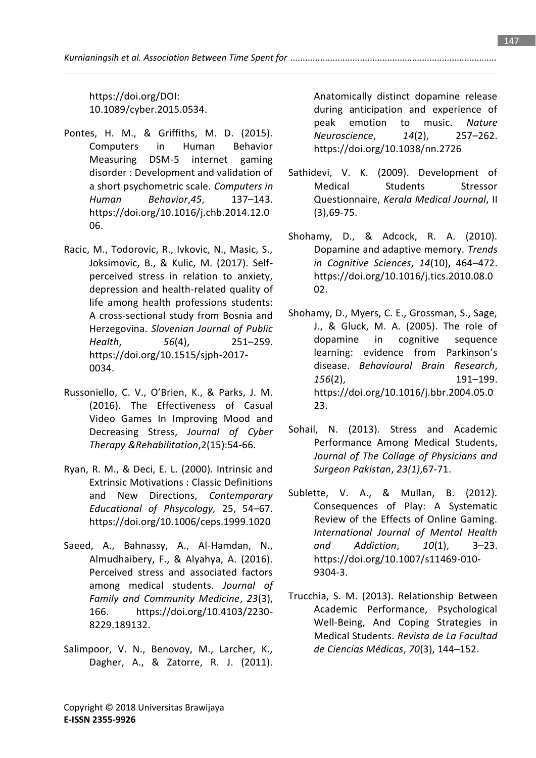https://doi.org/DOI: 10.1089/cyber.2015.0534.

- Pontes, H. M., & Griffiths, M. D. (2015). Computers in Human Behavior Measuring DSM-5 internet gaming disorder : Development and validation of a short psychometric scale. *Computers in Human Behavior*,*45*, 137–143. https://doi.org/10.1016/j.chb.2014.12.0 06.
- Racic, M., Todorovic, R., Ivkovic, N., Masic, S., Joksimovic, B., & Kulic, M. (2017). Selfperceived stress in relation to anxiety, depression and health-related quality of life among health professions students: A cross-sectional study from Bosnia and Herzegovina. *Slovenian Journal of Public Health*, *56*(4), 251–259. https://doi.org/10.1515/sjph-2017- 0034.
- Russoniello, C. V., O'Brien, K., & Parks, J. M. (2016). The Effectiveness of Casual Video Games In Improving Mood and Decreasing Stress, *Journal of Cyber Therapy &Rehabilitation*,2(15):54-66.
- Ryan, R. M., & Deci, E. L. (2000). Intrinsic and Extrinsic Motivations : Classic Definitions and New Directions, *Contemporary Educational of Phsycology,* 25, 54–67. https://doi.org/10.1006/ceps.1999.1020
- Saeed, A., Bahnassy, A., Al-Hamdan, N., Almudhaibery, F., & Alyahya, A. (2016). Perceived stress and associated factors among medical students. *Journal of Family and Community Medicine*, *23*(3), 166. https://doi.org/10.4103/2230- 8229.189132.
- Salimpoor, V. N., Benovoy, M., Larcher, K., Dagher, A., & Zatorre, R. J. (2011).

Anatomically distinct dopamine release during anticipation and experience of peak emotion to music. *Nature Neuroscience*, *14*(2), 257–262. https://doi.org/10.1038/nn.2726

- Sathidevi, V. K. (2009). Development of Medical Students Stressor Questionnaire, *Kerala Medical Journal*, II (3),69-75.
- Shohamy, D., & Adcock, R. A. (2010). Dopamine and adaptive memory. *Trends in Cognitive Sciences*, *14*(10), 464–472. https://doi.org/10.1016/j.tics.2010.08.0 02.
- Shohamy, D., Myers, C. E., Grossman, S., Sage, J., & Gluck, M. A. (2005). The role of dopamine in cognitive sequence learning: evidence from Parkinson's disease. *Behavioural Brain Research*, *156*(2), 191–199. https://doi.org/10.1016/j.bbr.2004.05.0 23.
- Sohail, N. (2013). Stress and Academic Performance Among Medical Students, *Journal of The Collage of Physicians and Surgeon Pakistan*, *23(1)*,67-71.
- Sublette, V. A., & Mullan, B. (2012). Consequences of Play: A Systematic Review of the Effects of Online Gaming. *International Journal of Mental Health and Addiction*, *10*(1), 3–23. https://doi.org/10.1007/s11469-010- 9304-3.
- Trucchia, S. M. (2013). Relationship Between Academic Performance, Psychological Well-Being, And Coping Strategies in Medical Students. *Revista de La Facultad de Ciencias Médicas*, *70*(3), 144–152.